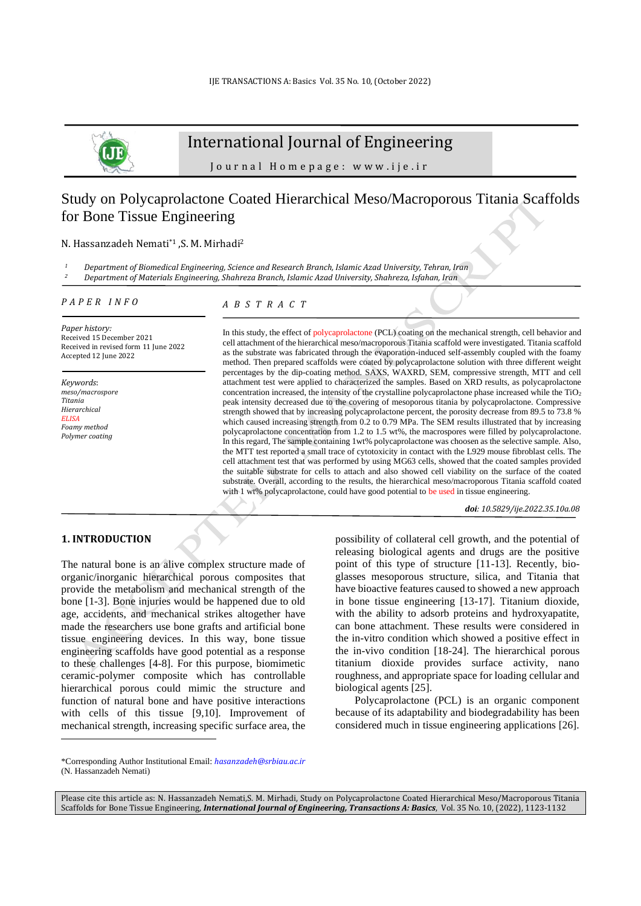

# International Journal of Engineering

J o u r n a l H o m e p a g e : w w w . i j e . i r

# Study on Polycaprolactone Coated Hierarchical Meso/Macroporous Titania Scaffolds for Bone Tissue Engineering

### N. Hassanzadeh Nemati\*1 ,S. M. Mirhadi<sup>2</sup>

*<sup>1</sup> Department of Biomedical Engineering, Science and Research Branch, Islamic Azad University, Tehran, Iran <sup>2</sup> Department of Materials Engineering, Shahreza Branch, Islamic Azad University, Shahreza, Isfahan, Iran*

## *P A P E R I N F O*

# *A B S T R A C T*

*Paper history:* Received 15 December 2021 Received in revised form 11 June 2022 Accepted 12 June 2022

*Keywords*: *meso/macrospore Titania Hierarchical ELISA Foamy method Polymer coating* 

In this study, the effect of polycaprolactone (PCL) coating on the mechanical strength, cell behavior and cell attachment of the hierarchical meso/macroporous Titania scaffold were investigated. Titania scaffold as the substrate was fabricated through the evaporation-induced self-assembly coupled with the foamy method. Then prepared scaffolds were coated by polycaprolactone solution with three different weight percentages by the dip-coating method. SAXS, WAXRD, SEM, compressive strength, MTT and cell attachment test were applied to characterized the samples. Based on XRD results, as polycaprolactone concentration increased, the intensity of the crystalline polycaprolactone phase increased while the TiO2 peak intensity decreased due to the covering of mesoporous titania by polycaprolactone. Compressive strength showed that by increasing polycaprolactone percent, the porosity decrease from 89.5 to 73.8 % which caused increasing strength from 0.2 to 0.79 MPa. The SEM results illustrated that by increasing polycaprolactone concentration from 1.2 to 1.5 wt%, the macrospores were filled by polycaprolactone. In this regard, The sample containing 1wt% polycaprolactone was choosen as the selective sample. Also, the MTT test reported a small trace of cytotoxicity in contact with the L929 mouse fibroblast cells. The cell attachment test that was performed by using MG63 cells, showed that the coated samples provided the suitable substrate for cells to attach and also showed cell viability on the surface of the coated substrate. Overall, according to the results, the hierarchical meso/macroporous Titania scaffold coated with 1 wt% polycaprolactone, could have good potential to be used in tissue engineering.

*doi: 10.5829/ije.2022.35.10a.08*

# **1. INTRODUCTION<sup>2</sup>**

The natural bone is an alive complex structure made of organic/inorganic hierarchical porous composites that provide the metabolism and mechanical strength of the bone [1-3]. Bone injuries would be happened due to old age, accidents, and mechanical strikes altogether have made the researchers use bone grafts and artificial bone tissue engineering devices. In this way, bone tissue engineering scaffolds have good potential as a response to these challenges [4-8]. For this purpose, biomimetic ceramic-polymer composite which has controllable hierarchical porous could mimic the structure and function of natural bone and have positive interactions with cells of this tissue [9,10]. Improvement of mechanical strength, increasing specific surface area, the possibility of collateral cell growth, and the potential of releasing biological agents and drugs are the positive point of this type of structure [11-13]. Recently, bioglasses mesoporous structure, silica, and Titania that have bioactive features caused to showed a new approach in bone tissue engineering [13-17]. Titanium dioxide, with the ability to adsorb proteins and hydroxyapatite, can bone attachment. These results were considered in the in-vitro condition which showed a positive effect in the in-vivo condition [18-24]. The hierarchical porous titanium dioxide provides surface activity, nano roughness, and appropriate space for loading cellular and biological agents [25].

Polycaprolactone (PCL) is an organic component because of its adaptability and biodegradability has been considered much in tissue engineering applications [26].

<sup>\*</sup>Corresponding Author Institutional Email: *hasanzadeh@srbiau.ac.ir* (N. Hassanzadeh Nemati)

Please cite this article as: N. Hassanzadeh Nemati,S. M. Mirhadi, Study on Polycaprolactone Coated Hierarchical Meso/Macroporous Titania Scaffolds for Bone Tissue Engineering, *International Journal of Engineering, Transactions A: Basics*, Vol. 35 No. 10, (2022), 1123-1132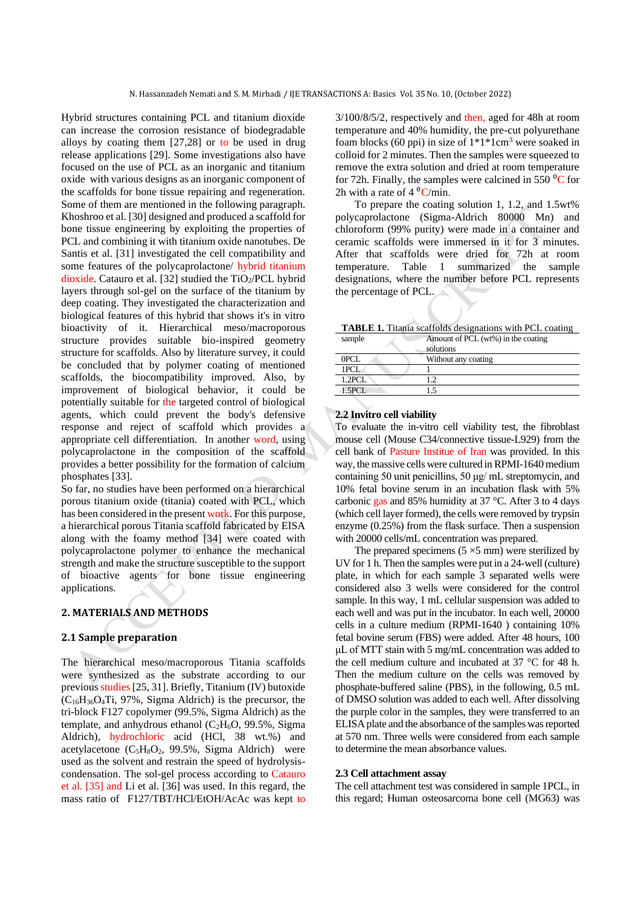Hybrid structures containing PCL and titanium dioxide can increase the corrosion resistance of biodegradable alloys by coating them [27,28] or to be used in drug release applications [29]. Some investigations also have focused on the use of PCL as an inorganic and titanium oxide with various designs as an inorganic component of the scaffolds for bone tissue repairing and regeneration. Some of them are mentioned in the following paragraph. Khoshroo et al. [30] designed and produced a scaffold for bone tissue engineering by exploiting the properties of PCL and combining it with titanium oxide nanotubes. De Santis et al. [31] investigated the cell compatibility and some features of the polycaprolactone/ hybrid titanium dioxide. Catauro et al. [32] studied the  $TiO<sub>2</sub>/PCL$  hybrid layers through sol-gel on the surface of the titanium by deep coating. They investigated the characterization and biological features of this hybrid that shows it's in vitro bioactivity of it. Hierarchical meso/macroporous structure provides suitable bio-inspired geometry structure for scaffolds. Also by literature survey, it could be concluded that by polymer coating of mentioned scaffolds, the biocompatibility improved. Also, by improvement of biological behavior, it could be potentially suitable for the targeted control of biological agents, which could prevent the body's defensive response and reject of scaffold which provides a appropriate cell differentiation. In another word, using polycaprolactone in the composition of the scaffold provides a better possibility for the formation of calcium phosphates [33].

So far, no studies have been performed on a hierarchical porous titanium oxide (titania) coated with PCL, which has been considered in the present work. For this purpose, a hierarchical porous Titania scaffold fabricated by EISA along with the foamy method [34] were coated with polycaprolactone polymer to enhance the mechanical strength and make the structure susceptible to the support of bioactive agents for bone tissue engineering applications.

# **2. MATERIALS AND METHODS**

# **2.1 Sample preparation**

The hierarchical meso/macroporous Titania scaffolds were synthesized as the substrate according to our previous studies[25, 31]. Briefly, Titanium (IV) butoxide  $(C_{16}H_{36}O_4Ti, 97\%,$  Sigma Aldrich) is the precursor, the tri-block F127 copolymer (99.5%, Sigma Aldrich) as the template, and anhydrous ethanol  $(C_2H_6O, 99.5\%$ , Sigma Aldrich), hydrochloric acid (HCl, 38 wt.%) and acetylacetone  $(C_5H_8O_2, 99.5\%$ , Sigma Aldrich) were used as the solvent and restrain the speed of hydrolysiscondensation. The sol-gel process according to Catauro et al. [35] and Li et al. [36] was used. In this regard, the mass ratio of F127/TBT/HCl/EtOH/AcAc was kept to 3/100/8/5/2, respectively and then, aged for 48h at room temperature and 40% humidity, the pre-cut polyurethane foam blocks (60 ppi) in size of  $1*1*1$ cm<sup>3</sup> were soaked in colloid for 2 minutes. Then the samples were squeezed to remove the extra solution and dried at room temperature for 72h. Finally, the samples were calcined in 550 $\mathrm{^{0}C}$  for 2h with a rate of  $4 \text{ }^0C/\text{min}$ .

To prepare the coating solution 1, 1.2, and 1.5wt% polycaprolactone (Sigma-Aldrich 80000 Mn) and chloroform (99% purity) were made in a container and ceramic scaffolds were immersed in it for 3 minutes. After that scaffolds were dried for 72h at room temperature. Table 1 summarized the sample designations, where the number before PCL represents the percentage of PCL.

**TABLE 1.** Titania scaffolds designations with PCL coating

| sample     | Amount of PCL (wt%) in the coating<br>solutions |  |
|------------|-------------------------------------------------|--|
| 0PCL       | Without any coating                             |  |
| 1PCL       |                                                 |  |
| $1.2$ PCL  | 1.2                                             |  |
| $1.5$ PCI. | -5                                              |  |
|            |                                                 |  |

## **2.2 Invitro cell viability**

To evaluate the in-vitro cell viability test, the fibroblast mouse cell (Mouse C34/connective tissue-L929) from the cell bank of Pasture Institue of Iran was provided. In this way, the massive cells were cultured in RPMI-1640 medium containing 50 unit penicillins, 50 μg/ mL streptomycin, and 10% fetal bovine serum in an incubation flask with 5% carbonic gas and 85% humidity at 37 °C. After 3 to 4 days (which cell layer formed), the cells were removed by trypsin enzyme (0.25%) from the flask surface. Then a suspension with 20000 cells/mL concentration was prepared.

The prepared specimens  $(5 \times 5 \text{ mm})$  were sterilized by UV for 1 h. Then the samples were put in a 24-well (culture) plate, in which for each sample 3 separated wells were considered also 3 wells were considered for the control sample. In this way, 1 mL cellular suspension was added to each well and was put in the incubator. In each well, 20000 cells in a culture medium (RPMI-1640 ) containing 10% fetal bovine serum (FBS) were added. After 48 hours, 100 μL of MTT stain with 5 mg/mL concentration was added to the cell medium culture and incubated at 37 °C for 48 h. Then the medium culture on the cells was removed by phosphate-buffered saline (PBS), in the following, 0.5 mL of DMSO solution was added to each well. After dissolving the purple color in the samples, they were transferred to an ELISA plate and the absorbance of the samples was reported at 570 nm. Three wells were considered from each sample to determine the mean absorbance values.

#### **2.3 Cell attachment assay**

The cell attachment test was considered in sample 1PCL, in this regard; Human osteosarcoma bone cell (MG63) was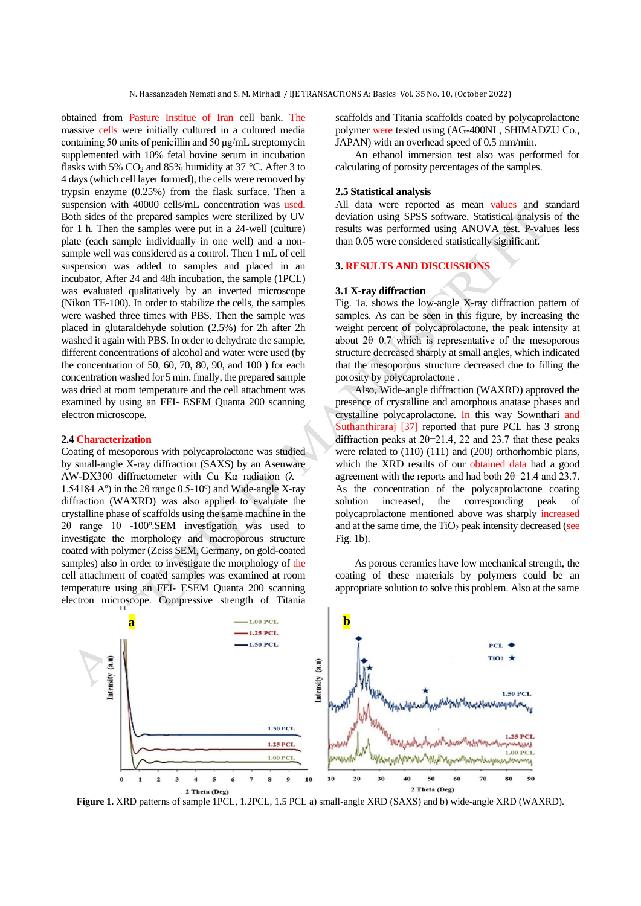obtained from Pasture Institue of Iran cell bank. The massive cells were initially cultured in a cultured media containing 50 units of penicillin and 50 μg/mL streptomycin supplemented with 10% fetal bovine serum in incubation flasks with 5%  $CO<sub>2</sub>$  and 85% humidity at 37 °C. After 3 to 4 days (which cell layer formed), the cells were removed by trypsin enzyme (0.25%) from the flask surface. Then a suspension with 40000 cells/mL concentration was used. Both sides of the prepared samples were sterilized by UV for 1 h. Then the samples were put in a 24-well (culture) plate (each sample individually in one well) and a nonsample well was considered as a control. Then 1 mL of cell suspension was added to samples and placed in an incubator, After 24 and 48h incubation, the sample (1PCL) was evaluated qualitatively by an inverted microscope (Nikon TE-100). In order to stabilize the cells, the samples were washed three times with PBS. Then the sample was placed in glutaraldehyde solution (2.5%) for 2h after 2h washed it again with PBS. In order to dehydrate the sample, different concentrations of alcohol and water were used (by the concentration of 50, 60, 70, 80, 90, and 100 ) for each concentration washed for 5 min. finally, the prepared sample was dried at room temperature and the cell attachment was examined by using an FEI- ESEM Quanta 200 scanning electron microscope.

#### **2.4 Characterization**

Coating of mesoporous with polycaprolactone was studied by small-angle X-ray diffraction (SAXS) by an Asenware AW-DX300 diffractometer with Cu Ka radiation ( $\lambda =$ 1.54184 A<sup>o</sup>) in the 20 range 0.5-10<sup>o</sup>) and Wide-angle X-ray diffraction (WAXRD) was also applied to evaluate the crystalline phase of scaffolds using the same machine in the 2θ range 10 -100°.SEM investigation was used to investigate the morphology and macroporous structure coated with polymer (Zeiss SEM, Germany, on gold-coated samples) also in order to investigate the morphology of the cell attachment of coated samples was examined at room temperature using an FEI- ESEM Quanta 200 scanning electron microscope. Compressive strength of Titania

scaffolds and Titania scaffolds coated by polycaprolactone polymer were tested using (AG-400NL, SHIMADZU Co., JAPAN) with an overhead speed of 0.5 mm/min.

An ethanol immersion test also was performed for calculating of porosity percentages of the samples.

### **2.5 Statistical analysis**

All data were reported as mean values and standard deviation using SPSS software. Statistical analysis of the results was performed using ANOVA test. P-values less than 0.05 were considered statistically significant.

### **3. RESULTS AND DISCUSSIONS**

### **3.1 X-ray diffraction**

Fig. 1a. shows the low-angle X-ray diffraction pattern of samples. As can be seen in this figure, by increasing the weight percent of polycaprolactone, the peak intensity at about  $2\theta = 0.7$  which is representative of the mesoporous structure decreased sharply at small angles, which indicated that the mesoporous structure decreased due to filling the porosity by polycaprolactone .

Also, Wide-angle diffraction (WAXRD) approved the presence of crystalline and amorphous anatase phases and crystalline polycaprolactone. In this way Sownthari and Suthanthiraraj [37] reported that pure PCL has 3 strong diffraction peaks at  $2\theta = 21.4$ , 22 and 23.7 that these peaks were related to (110) (111) and (200) orthorhombic plans, which the XRD results of our obtained data had a good agreement with the reports and had both 2θ=21.4 and 23.7. As the concentration of the polycaprolactone coating solution increased, the corresponding peak of polycaprolactone mentioned above was sharply increased and at the same time, the  $TiO<sub>2</sub>$  peak intensity decreased (see Fig. 1b).

As porous ceramics have low mechanical strength, the coating of these materials by polymers could be an appropriate solution to solve this problem. Also at the same



**Figure 1.** XRD patterns of sample 1PCL, 1.2PCL, 1.5 PCL a) small-angle XRD (SAXS) and b) wide-angle XRD (WAXRD).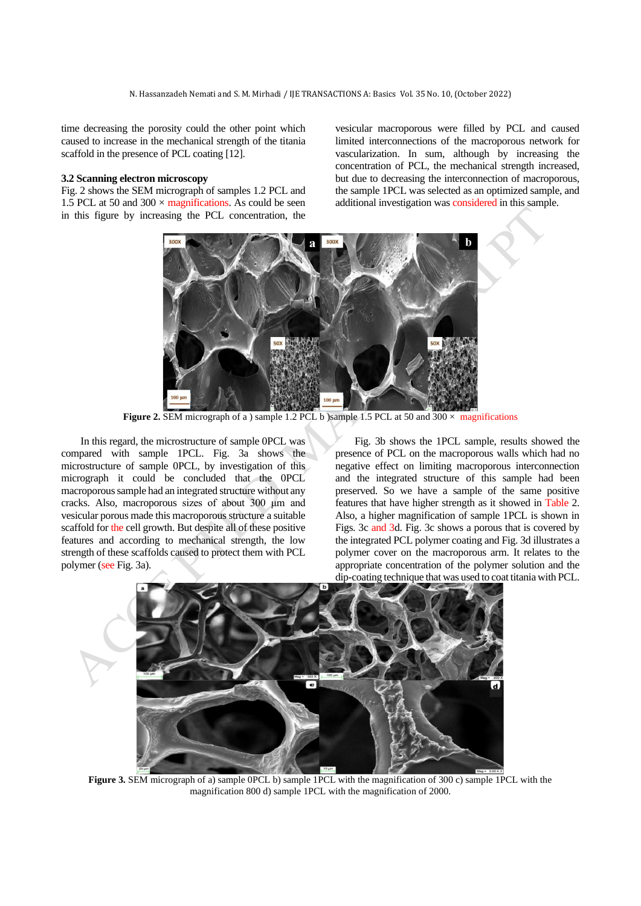time decreasing the porosity could the other point which caused to increase in the mechanical strength of the titania scaffold in the presence of PCL coating [12].

### **3.2 Scanning electron microscopy**

Fig. 2 shows the SEM micrograph of samples 1.2 PCL and 1.5 PCL at 50 and  $300 \times$  magnifications. As could be seen in this figure by increasing the PCL concentration, the vesicular macroporous were filled by PCL and caused limited interconnections of the macroporous network for vascularization. In sum, although by increasing the concentration of PCL, the mechanical strength increased, but due to decreasing the interconnection of macroporous, the sample 1PCL was selected as an optimized sample, and additional investigation was considered in this sample.



Figure 2. SEM micrograph of a ) sample 1.2 PCL b )sample 1.5 PCL at 50 and 300  $\times$  magnifications

In this regard, the microstructure of sample 0PCL was compared with sample 1PCL. Fig. 3a shows the microstructure of sample 0PCL, by investigation of this micrograph it could be concluded that the 0PCL macroporous sample had an integrated structure without any cracks. Also, macroporous sizes of about 300 μm and vesicular porous made this macroporous structure a suitable scaffold for the cell growth. But despite all of these positive features and according to mechanical strength, the low strength of these scaffolds caused to protect them with PCL polymer (see Fig. 3a).

Fig. 3b shows the 1PCL sample, results showed the presence of PCL on the macroporous walls which had no negative effect on limiting macroporous interconnection and the integrated structure of this sample had been preserved. So we have a sample of the same positive features that have higher strength as it showed in Table 2. Also, a higher magnification of sample 1PCL is shown in Figs. 3c and 3d. Fig. 3c shows a porous that is covered by the integrated PCL polymer coating and Fig. 3d illustrates a polymer cover on the macroporous arm. It relates to the appropriate concentration of the polymer solution and the dip-coating technique that was used to coat titania with PCL.



**Figure 3.** SEM micrograph of a) sample 0PCL b) sample 1PCL with the magnification of 300 c) sample 1PCL with the magnification 800 d) sample 1PCL with the magnification of 2000.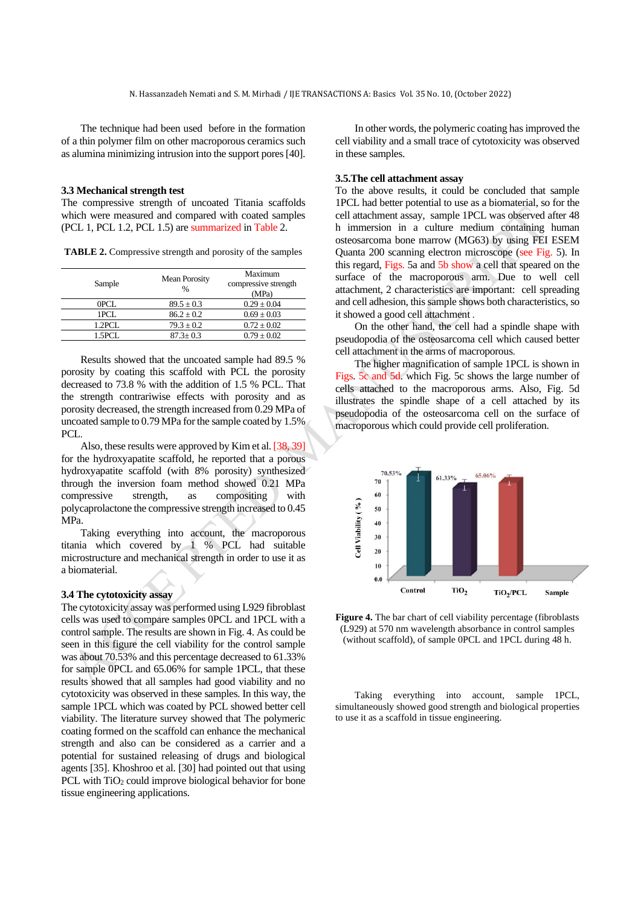The technique had been used before in the formation of a thin polymer film on other macroporous ceramics such as alumina minimizing intrusion into the support pores [40].

#### **3.3 Mechanical strength test**

The compressive strength of uncoated Titania scaffolds which were measured and compared with coated samples (PCL 1, PCL 1.2, PCL 1.5) are summarized in Table 2.

**TABLE 2.** Compressive strength and porosity of the samples

| Sample | <b>Mean Porosity</b><br>$\frac{0}{0}$ | Maximum<br>compressive strength<br>(MPa) |
|--------|---------------------------------------|------------------------------------------|
| 0PCL   | $89.5 \pm 0.3$                        | $0.29 \pm 0.04$                          |
| 1PCL   | $86.2 \pm 0.2$                        | $0.69 \pm 0.03$                          |
| 1.2PCL | $79.3 \pm 0.2$                        | $0.72 \pm 0.02$                          |
| 1.5PCL | $87.3 \pm 0.3$                        | $0.79 \pm 0.02$                          |

Results showed that the uncoated sample had 89.5 % porosity by coating this scaffold with PCL the porosity decreased to 73.8 % with the addition of 1.5 % PCL. That the strength contrariwise effects with porosity and as porosity decreased, the strength increased from 0.29 MPa of uncoated sample to 0.79 MPa for the sample coated by 1.5% PCL.

Also, these results were approved by Kim et al. [38, 39] for the hydroxyapatite scaffold, he reported that a porous hydroxyapatite scaffold (with 8% porosity) synthesized through the inversion foam method showed 0.21 MPa compressive strength, as compositing with polycaprolactone the compressive strength increased to 0.45 MPa.

Taking everything into account, the macroporous titania which covered by 1 % PCL had suitable microstructure and mechanical strength in order to use it as a biomaterial.

# **3.4 The cytotoxicity assay**

The cytotoxicity assay was performed using L929 fibroblast cells was used to compare samples 0PCL and 1PCL with a control sample. The results are shown in Fig. 4. As could be seen in this figure the cell viability for the control sample was about 70.53% and this percentage decreased to 61.33% for sample 0PCL and 65.06% for sample 1PCL, that these results showed that all samples had good viability and no cytotoxicity was observed in these samples. In this way, the sample 1PCL which was coated by PCL showed better cell viability. The literature survey showed that The polymeric coating formed on the scaffold can enhance the mechanical strength and also can be considered as a carrier and a potential for sustained releasing of drugs and biological agents [35]. Khoshroo et al. [30] had pointed out that using PCL with TiO<sub>2</sub> could improve biological behavior for bone tissue engineering applications.

In other words, the polymeric coating has improved the cell viability and a small trace of cytotoxicity was observed in these samples.

### **3.5.The cell attachment assay**

To the above results, it could be concluded that sample 1PCL had better potential to use as a biomaterial, so for the cell attachment assay, sample 1PCL was observed after 48 h immersion in a culture medium containing human osteosarcoma bone marrow (MG63) by using FEI ESEM Quanta 200 scanning electron microscope (see Fig. 5). In this regard, Figs. 5a and 5b show a cell that speared on the surface of the macroporous arm. Due to well cell attachment, 2 characteristics are important: cell spreading and cell adhesion, this sample shows both characteristics, so it showed a good cell attachment .

On the other hand, the cell had a spindle shape with pseudopodia of the osteosarcoma cell which caused better cell attachment in the arms of macroporous .

The higher magnification of sample 1PCL is shown in Figs. 5c and 5d. which Fig. 5c shows the large number of cells attached to the macroporous arms. Also, Fig. 5d illustrates the spindle shape of a cell attached by its pseudopodia of the osteosarcoma cell on the surface of macroporous which could provide cell proliferation.



**Figure 4.** The bar chart of cell viability percentage (fibroblasts (L929) at 570 nm wavelength absorbance in control samples (without scaffold), of sample 0PCL and 1PCL during 48 h.

Taking everything into account, sample 1PCL, simultaneously showed good strength and biological properties to use it as a scaffold in tissue engineering.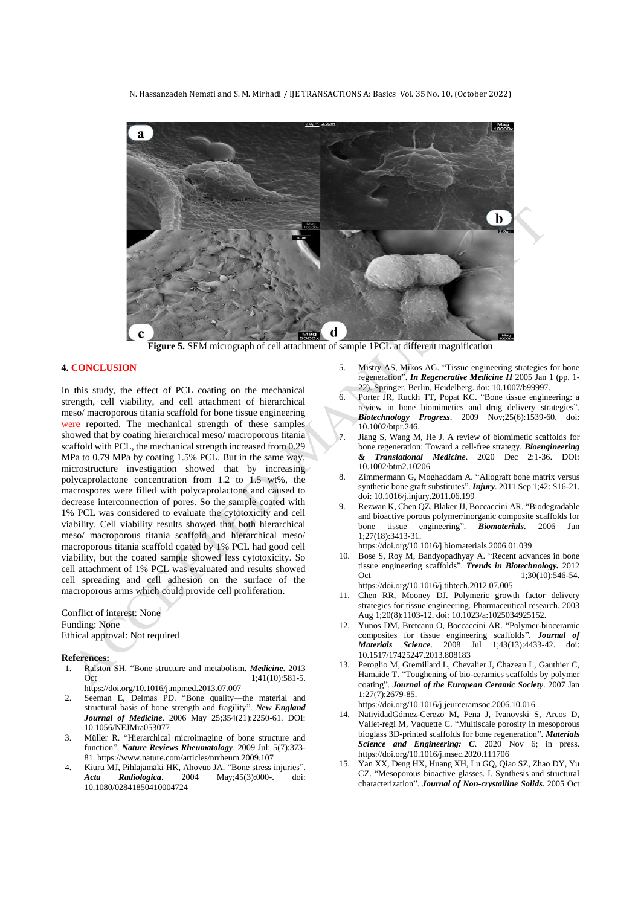N. Hassanzadeh Nemati and S. M. Mirhadi / IJE TRANSACTIONS A: Basics Vol. 35 No. 10, (October 2022)



**Figure 5.** SEM micrograph of cell attachment of sample 1PCL at different magnification

#### **4. CONCLUSION**

In this study, the effect of PCL coating on the mechanical strength, cell viability, and cell attachment of hierarchical meso/ macroporous titania scaffold for bone tissue engineering were reported. The mechanical strength of these samples showed that by coating hierarchical meso/ macroporous titania scaffold with PCL, the mechanical strength increased from 0.29 MPa to 0.79 MPa by coating 1.5% PCL. But in the same way, microstructure investigation showed that by increasing polycaprolactone concentration from 1.2 to 1.5 wt%, the macrospores were filled with polycaprolactone and caused to decrease interconnection of pores. So the sample coated with 1% PCL was considered to evaluate the cytotoxicity and cell viability. Cell viability results showed that both hierarchical meso/ macroporous titania scaffold and hierarchical meso/ macroporous titania scaffold coated by 1% PCL had good cell viability, but the coated sample showed less cytotoxicity. So cell attachment of 1% PCL was evaluated and results showed cell spreading and cell adhesion on the surface of the macroporous arms which could provide cell proliferation .

Conflict of interest: None Funding: None Ethical approval: Not required

#### **References:**

- 1. Ralston SH. "Bone structure and metabolism. *Medicine*. 2013 Oct 1:41(10):581-5. https://doi.org/10.1016/j.mpmed.2013.07.007
- 2. Seeman E, Delmas PD. "Bone quality—the material and structural basis of bone strength and fragility". *New England Journal of Medicine*. 2006 May 25;354(21):2250-61. DOI: 10.1056/NEJMra053077
- 3. Müller R. "Hierarchical microimaging of bone structure and function". *Nature Reviews Rheumatology*. 2009 Jul; 5(7):373- 81. https://www.nature.com/articles/nrrheum.2009.107
- 4. Kiuru MJ, Pihlajamäki HK, Ahovuo JA. "Bone stress injuries". *Acta Radiologica*. 2004 May;45(3):000-. doi: 10.1080/02841850410004724
- 5. Mistry AS, Mikos AG. "Tissue engineering strategies for bone regeneration". *In Regenerative Medicine II* 2005 Jan 1 (pp. 1- 22). Springer, Berlin, Heidelberg. doi: 10.1007/b99997.
- 6. Porter JR, Ruckh TT, Popat KC. "Bone tissue engineering: a review in bone biomimetics and drug delivery strategies". *Biotechnology Progress*. 2009 Nov;25(6):1539-60. doi: 10.1002/btpr.246.
- 7. Jiang S, Wang M, He J. A review of biomimetic scaffolds for bone regeneration: Toward a cell‐free strategy. *Bioengineering & Translational Medicine*. 2020 Dec 2:1-36. DOI: 10.1002/btm2.10206
- Zimmermann G, Moghaddam A. "Allograft bone matrix versus synthetic bone graft substitutes". *Injury*. 2011 Sep 1;42: S16-21. doi: 10.1016/j.injury.2011.06.199
- 9. Rezwan K, Chen QZ, Blaker JJ, Boccaccini AR. "Biodegradable and bioactive porous polymer/inorganic composite scaffolds for bone tissue engineering". *Biomaterials*. 2006 Jun 1;27(18):3413-31.
- https://doi.org/10.1016/j.biomaterials.2006.01.039 10. Bose S, Roy M, Bandyopadhyay A. "Recent advances in bone tissue engineering scaffolds". *Trends in Biotechnology.* 2012 Oct 1:30(10):546-54.

https://doi.org/10.1016/j.tibtech.2012.07.005

- 11. Chen RR, Mooney DJ. Polymeric growth factor delivery strategies for tissue engineering. Pharmaceutical research. 2003 Aug 1;20(8):1103-12. doi: 10.1023/a:1025034925152.
- 12. Yunos DM, Bretcanu O, Boccaccini AR. "Polymer-bioceramic composites for tissue engineering scaffolds". *Journal of Materials Science*. 2008 Jul 1;43(13):4433-42. doi: 10.1517/17425247.2013.808183
- 13. Peroglio M, Gremillard L, Chevalier J, Chazeau L, Gauthier C, Hamaide T. "Toughening of bio-ceramics scaffolds by polymer coating". *Journal of the European Ceramic Society*. 2007 Jan 1;27(7):2679-85.

https://doi.org/10.1016/j.jeurceramsoc.2006.10.016

- 14. NatividadGómez-Cerezo M, Pena J, Ivanovski S, Arcos D, Vallet-regi M, Vaquette C. "Multiscale porosity in mesoporous bioglass 3D-printed scaffolds for bone regeneration". *Materials Science and Engineering: C*. 2020 Nov 6; in press. https://doi.org/10.1016/j.msec.2020.111706
- 15. Yan XX, Deng HX, Huang XH, Lu GQ, Qiao SZ, Zhao DY, Yu CZ. "Mesoporous bioactive glasses. I. Synthesis and structural characterization". *Journal of Non-crystalline Solids.* 2005 Oct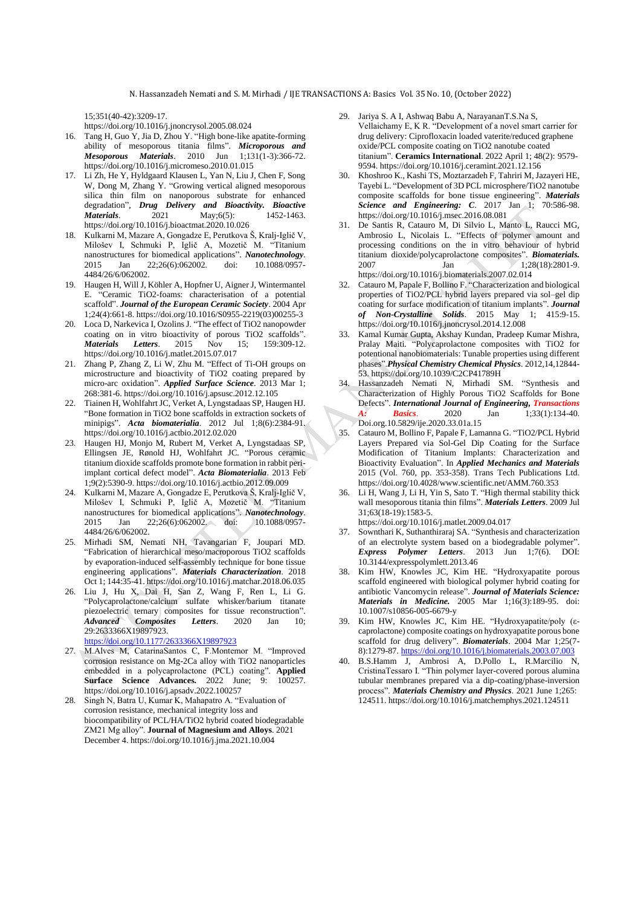15;351(40-42):3209-17.

https://doi.org/10.1016/j.jnoncrysol.2005.08.024

- 16. Tang H, Guo Y, Jia D, Zhou Y. "High bone-like apatite-forming ability of mesoporous titania films". *Microporous and Mesoporous Materials*. 2010 Jun 1;131(1-3):366-72. https://doi.org/10.1016/j.micromeso.2010.01.015
- 17. Li Zh, He Y, Hyldgaard Klausen L, Yan N, Liu J, Chen F, Song W, Dong M, Zhang Y. "Growing vertical aligned mesoporous silica thin film on nanoporous substrate for enhanced degradation", *Drug Delivery and Bioactivity. Bioactive Materials*. 2021 May;6(5): 1452-1463. https://doi.org/10.1016/j.bioactmat.2020.10.026
- 18. Kulkarni M, Mazare A, Gongadze E, Perutkova Š, Kralj-Iglič V, Milošev I, Schmuki P, Iglič A, Mozetič M. "Titanium nanostructures for biomedical applications". *Nanotechnology*. 2015 Jan 22;26(6):062002. doi: 10.1088/0957- 4484/26/6/062002.
- 19. Haugen H, Will J, Köhler A, Hopfner U, Aigner J, Wintermantel E. "Ceramic TiO2-foams: characterisation of a potential scaffold". *Journal of the European Ceramic Society*. 2004 Apr 1;24(4):661-8. https://doi.org/10.1016/S0955-2219(03)00255-3
- 20. Loca D, Narkevica I, Ozolins J. "The effect of TiO2 nanopowder coating on in vitro bioactivity of porous TiO2 scaffolds". *Materials Letters*. 2015 Nov 15; 159:309-12. https://doi.org/10.1016/j.matlet.2015.07.017
- 21. Zhang P, Zhang Z, Li W, Zhu M. "Effect of Ti-OH groups on microstructure and bioactivity of TiO2 coating prepared by micro-arc oxidation". *Applied Surface Science*. 2013 Mar 1; 268:381-6. https://doi.org/10.1016/j.apsusc.2012.12.105
- 22. Tiainen H, Wohlfahrt JC, Verket A, Lyngstadaas SP, Haugen HJ. "Bone formation in TiO2 bone scaffolds in extraction sockets of minipigs". *Acta biomaterialia*. 2012 Jul 1;8(6):2384-91. https://doi.org/10.1016/j.actbio.2012.02.020
- 23. Haugen HJ, Monjo M, Rubert M, Verket A, Lyngstadaas SP, Ellingsen JE, Rønold HJ, Wohlfahrt JC. "Porous ceramic titanium dioxide scaffolds promote bone formation in rabbit periimplant cortical defect model". *Acta Biomaterialia*. 2013 Feb 1;9(2):5390-9. https://doi.org/10.1016/j.actbio.2012.09.009
- 24. Kulkarni M, Mazare A, Gongadze E, Perutkova Š, Kralj-Iglič V, Milošev I, Schmuki P, Iglič A, Mozetič M. "Titanium nanostructures for biomedical applications". *Nanotechnology*. 2015 Jan 22;26(6):062002. doi: 10.1088/0957- 4484/26/6/062002.
- 25. Mirhadi SM, Nemati NH, Tavangarian F, Joupari MD. "Fabrication of hierarchical meso/macroporous TiO2 scaffolds by evaporation-induced self-assembly technique for bone tissue engineering applications". *Materials Characterization*. 2018 Oct 1; 144:35-41. https://doi.org/10.1016/j.matchar.2018.06.035
- 26. Liu J, Hu X, Dai H, San Z, Wang F, Ren L, Li G. "Polycaprolactone/calcium sulfate whisker/barium titanate piezoelectric ternary composites for tissue reconstruction". *Advanced Composites Letters*. 2020 Jan 10; 29:2633366X19897923. <https://doi.org/10.1177/2633366X19897923>

27. M.Alves M, CatarinaSantos C, F.Montemor M. "Improved corrosion resistance on Mg-2Ca alloy with TiO2 nanoparticles embedded in a polycaprolactone (PCL) coating". **Applied Surface Science Advances.** 2022 June; 9: 100257.

https://doi.org/10.1016/j.apsadv.2022.100257 28. Singh N, Batra U, Kumar K, Mahapatro A. "Evaluation of corrosion resistance, mechanical integrity loss and biocompatibility of PCL/HA/TiO2 hybrid coated biodegradable ZM21 Mg alloy". **Journal of Magnesium and Alloys**. 2021 December 4. https://doi.org/10.1016/j.jma.2021.10.004

- 29. Jariya S. A I, Ashwaq Babu A, NarayananT.S.Na S, Vellaichamy E, K R. "Development of a novel smart carrier for drug delivery: Ciprofloxacin loaded vaterite/reduced graphene oxide/PCL composite coating on TiO2 nanotube coated titanium". **Ceramics International**. 2022 April 1; 48(2): 9579- 9594. https://doi.org/10.1016/j.ceramint.2021.12.156
- 30. Khoshroo K., Kashi TS, Moztarzadeh F, Tahriri M, Jazayeri HE, Tayebi L. "Development of 3D PCL microsphere/TiO2 nanotube composite scaffolds for bone tissue engineering". *Materials Science and Engineering: C*. 2017 Jan 1; 70:586-98. https://doi.org/10.1016/j.msec.2016.08.081
- 31. De Santis R, Catauro M, Di Silvio L, Manto L, Raucci MG, Ambrosio L, Nicolais L. "Effects of polymer amount and processing conditions on the in vitro behaviour of hybrid titanium dioxide/polycaprolactone composites". *Biomaterials.* 2007 Jan 1;28(18):2801-9. https://doi.org/10.1016/j.biomaterials.2007.02.014
- 32. Catauro M, Papale F, Bollino F. "Characterization and biological properties of TiO2/PCL hybrid layers prepared via sol–gel dip coating for surface modification of titanium implants". *Journal of Non-Crystalline Solids*. 2015 May 1; 415:9-15. https://doi.org/10.1016/j.jnoncrysol.2014.12.008
- 33. Kamal Kumar Gupta, Akshay Kundan, Pradeep Kumar Mishra, Pralay Maiti. "Polycaprolactone composites with TiO2 for potentional nanobiomaterials: Tunable properties using different phases".*Physical Chemistry Chemical Physics*. 2012,14,12844- 53. https://doi.org/10.1039/C2CP41789H
- 34. Hassanzadeh Nemati N, Mirhadi SM. "Synthesis and Characterization of Highly Porous TiO2 Scaffolds for Bone Defects". *International Journal of Engineering, Transactions A: Basics*. 2020 Jan 1;33(1):134-40. Doi.org.10.5829/ije.2020.33.01a.15
- 35. Catauro M, Bollino F, Papale F, Lamanna G. "TiO2/PCL Hybrid Layers Prepared via Sol-Gel Dip Coating for the Surface Modification of Titanium Implants: Characterization and Bioactivity Evaluation". In *Applied Mechanics and Materials*  2015 (Vol. 760, pp. 353-358). Trans Tech Publications Ltd. https://doi.org/10.4028/www.scientific.net/AMM.760.353
- Li H, Wang J, Li H, Yin S, Sato T. "High thermal stability thick wall mesoporous titania thin films". *Materials Letters*. 2009 Jul 31;63(18-19):1583-5.

https://doi.org/10.1016/j.matlet.2009.04.017

- 37. Sownthari K, Suthanthiraraj SA. "Synthesis and characterization of an electrolyte system based on a biodegradable polymer". *Express Polymer Letters*. 2013 Jun 1;7(6). DOI: 10.3144/expresspolymlett.2013.46
- 38. Kim HW, Knowles JC, Kim HE. "Hydroxyapatite porous scaffold engineered with biological polymer hybrid coating for antibiotic Vancomycin release". *Journal of Materials Science: Materials in Medicine.* 2005 Mar 1;16(3):189-95. doi: 10.1007/s10856-005-6679-y
- 39. Kim HW, Knowles JC, Kim HE. "Hydroxyapatite/poly (εcaprolactone) composite coatings on hydroxyapatite porous bone scaffold for drug delivery". *Biomaterials*. 2004 Mar 1;25(7- 8):1279-87[. https://doi.org/10.1016/j.biomaterials.2003.07.003](https://doi.org/10.1016/j.biomaterials.2003.07.003)
- 40. B.S.Hamm J, Ambrosi A, D.Pollo L, R.Marcilio N, CristinaTessaro I. "Thin polymer layer-covered porous alumina tubular membranes prepared via a dip-coating/phase-inversion process". *Materials Chemistry and Physics*. 2021 June 1;265: 124511. https://doi.org/10.1016/j.matchemphys.2021.124511